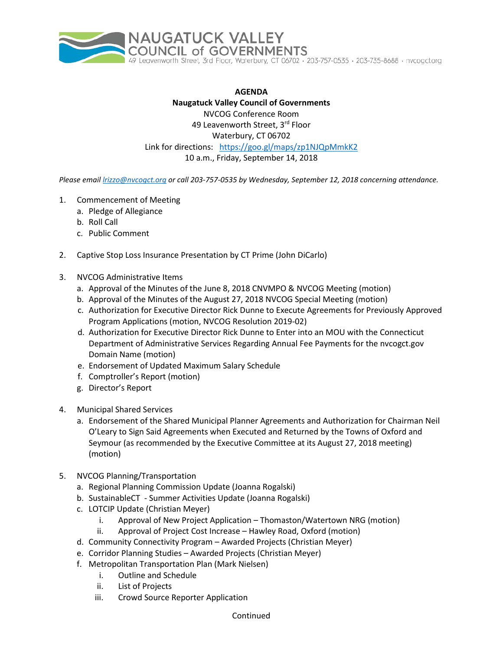

**AGENDA Naugatuck Valley Council of Governments** NVCOG Conference Room 49 Leavenworth Street, 3rd Floor Waterbury, CT 06702 Link for directions: <https://goo.gl/maps/zp1NJQpMmkK2> 10 a.m., Friday, September 14, 2018

*Please email [lrizzo@nvcogct.org](mailto:lrizzo@nvcogct.org) or call 203-757-0535 by Wednesday, September 12, 2018 concerning attendance.*

- 1. Commencement of Meeting
	- a. Pledge of Allegiance
	- b. Roll Call
	- c. Public Comment
- 2. Captive Stop Loss Insurance Presentation by CT Prime (John DiCarlo)
- 3. NVCOG Administrative Items
	- a. Approval of the Minutes of the June 8, 2018 CNVMPO & NVCOG Meeting (motion)
	- b. Approval of the Minutes of the August 27, 2018 NVCOG Special Meeting (motion)
	- c. Authorization for Executive Director Rick Dunne to Execute Agreements for Previously Approved Program Applications (motion, NVCOG Resolution 2019-02)
	- d. Authorization for Executive Director Rick Dunne to Enter into an MOU with the Connecticut Department of Administrative Services Regarding Annual Fee Payments for the nvcogct.gov Domain Name (motion)
	- e. Endorsement of Updated Maximum Salary Schedule
	- f. Comptroller's Report (motion)
	- g. Director's Report
- 4. Municipal Shared Services
	- a. Endorsement of the Shared Municipal Planner Agreements and Authorization for Chairman Neil O'Leary to Sign Said Agreements when Executed and Returned by the Towns of Oxford and Seymour (as recommended by the Executive Committee at its August 27, 2018 meeting) (motion)
- 5. NVCOG Planning/Transportation
	- a. Regional Planning Commission Update (Joanna Rogalski)
	- b. SustainableCT Summer Activities Update (Joanna Rogalski)
	- c. LOTCIP Update (Christian Meyer)
		- i. Approval of New Project Application Thomaston/Watertown NRG (motion)
		- ii. Approval of Project Cost Increase Hawley Road, Oxford (motion)
	- d. Community Connectivity Program Awarded Projects (Christian Meyer)
	- e. Corridor Planning Studies Awarded Projects (Christian Meyer)
	- f. Metropolitan Transportation Plan (Mark Nielsen)
		- i. Outline and Schedule
		- ii. List of Projects
		- iii. Crowd Source Reporter Application